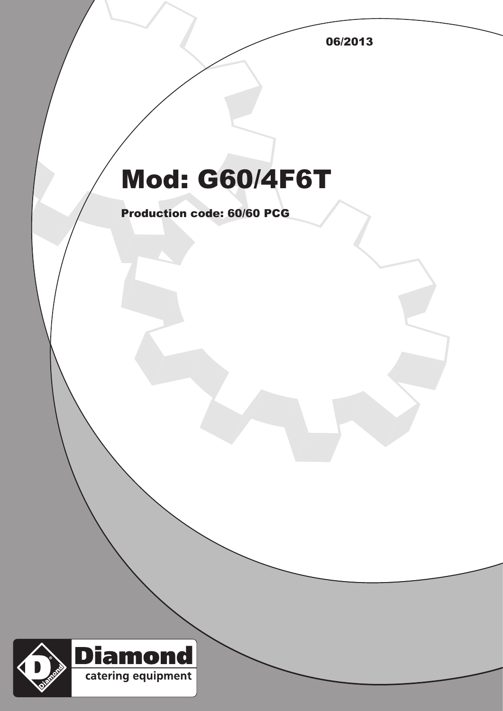06/2013

## Mod: G60/4F6T

Production code: 60/60 PCG

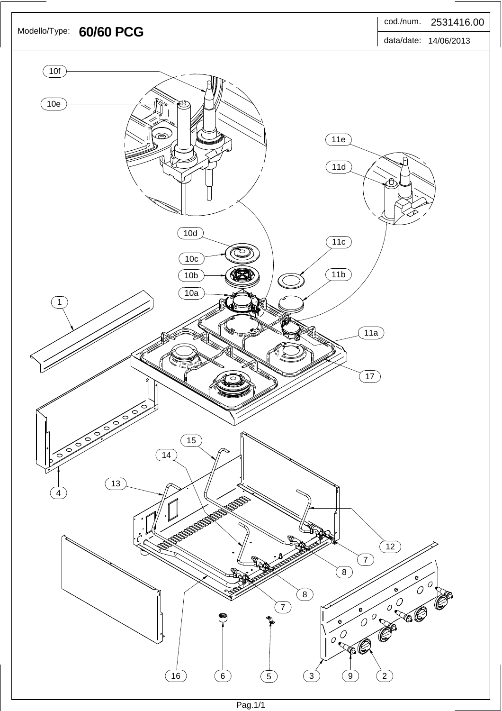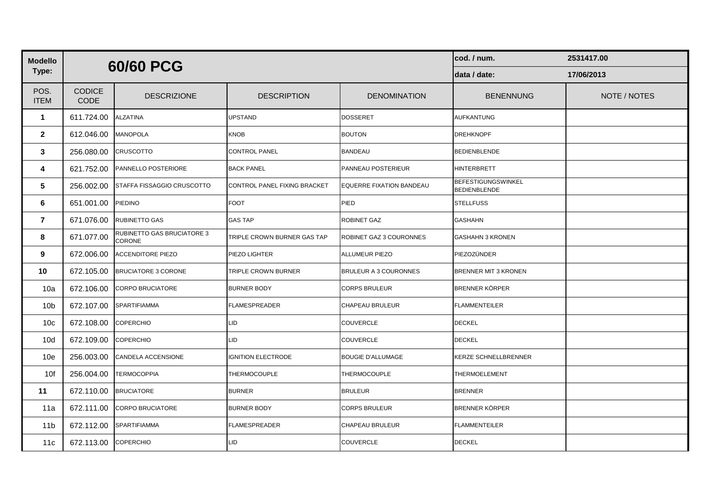| <b>Modello</b>      |                              |                                             |                                     | cod. / num.              | 2531417.00                                       |              |
|---------------------|------------------------------|---------------------------------------------|-------------------------------------|--------------------------|--------------------------------------------------|--------------|
| Type:               |                              | 60/60 PCG                                   |                                     | data / date:             | 17/06/2013                                       |              |
| POS.<br><b>ITEM</b> | <b>CODICE</b><br><b>CODE</b> | <b>DESCRIZIONE</b>                          | <b>DESCRIPTION</b>                  | <b>DENOMINATION</b>      | <b>BENENNUNG</b>                                 | NOTE / NOTES |
| $\mathbf{1}$        | 611.724.00                   | <b>ALZATINA</b>                             | <b>UPSTAND</b>                      | <b>DOSSERET</b>          | AUFKANTUNG                                       |              |
| $\overline{2}$      | 612.046.00                   | <b>MANOPOLA</b>                             | <b>KNOB</b>                         | <b>BOUTON</b>            | <b>DREHKNOPF</b>                                 |              |
| 3                   | 256.080.00                   | CRUSCOTTO                                   | <b>CONTROL PANEL</b>                | <b>BANDEAU</b>           | <b>BEDIENBLENDE</b>                              |              |
| 4                   | 621.752.00                   | PANNELLO POSTERIORE                         | <b>BACK PANEL</b>                   | PANNEAU POSTERIEUR       | <b>HINTERBRETT</b>                               |              |
| 5                   | 256.002.00                   | STAFFA FISSAGGIO CRUSCOTTO                  | <b>CONTROL PANEL FIXING BRACKET</b> | EQUERRE FIXATION BANDEAU | <b>BEFESTIGUNGSWINKEL</b><br><b>BEDIENBLENDE</b> |              |
| 6                   | 651.001.00                   | PIEDINO                                     | <b>FOOT</b>                         | PIED                     | <b>STELLFUSS</b>                                 |              |
| $\overline{7}$      | 671.076.00                   | RUBINETTO GAS                               | <b>GAS TAP</b>                      | ROBINET GAZ              | <b>GASHAHN</b>                                   |              |
| 8                   | 671.077.00                   | RUBINETTO GAS BRUCIATORE 3<br><b>CORONE</b> | TRIPLE CROWN BURNER GAS TAP         | ROBINET GAZ 3 COURONNES  | <b>GASHAHN 3 KRONEN</b>                          |              |
| 9                   | 672.006.00                   | <b>ACCENDITORE PIEZO</b>                    | PIEZO LIGHTER                       | ALLUMEUR PIEZO           | PIEZOZÜNDER                                      |              |
| 10                  | 672.105.00                   | BRUCIATORE 3 CORONE                         | TRIPLE CROWN BURNER                 | BRULEUR A 3 COURONNES    | BRENNER MIT 3 KRONEN                             |              |
| 10a                 | 672.106.00                   | CORPO BRUCIATORE                            | <b>BURNER BODY</b>                  | <b>CORPS BRULEUR</b>     | <b>BRENNER KÖRPER</b>                            |              |
| 10 <sub>b</sub>     | 672.107.00                   | SPARTIFIAMMA                                | <b>FLAMESPREADER</b>                | CHAPEAU BRULEUR          | <b>FLAMMENTEILER</b>                             |              |
| 10 <sub>c</sub>     | 672.108.00                   | COPERCHIO                                   | LID                                 | COUVERCLE                | <b>DECKEL</b>                                    |              |
| 10d                 | 672.109.00                   | COPERCHIO                                   | <b>LID</b>                          | <b>COUVERCLE</b>         | <b>DECKEL</b>                                    |              |
| 10 <sub>e</sub>     | 256.003.00                   | CANDELA ACCENSIONE                          | IGNITION ELECTRODE                  | <b>BOUGIE D'ALLUMAGE</b> | KERZE SCHNELLBRENNER                             |              |
| 10f                 | 256.004.00                   | TERMOCOPPIA                                 | <b>THERMOCOUPLE</b>                 | THERMOCOUPLE             | THERMOELEMENT                                    |              |
| 11                  | 672.110.00                   | <b>BRUCIATORE</b>                           | <b>BURNER</b>                       | <b>BRULEUR</b>           | <b>BRENNER</b>                                   |              |
| 11a                 | 672.111.00                   | <b>CORPO BRUCIATORE</b>                     | <b>BURNER BODY</b>                  | CORPS BRULEUR            | <b>BRENNER KÖRPER</b>                            |              |
| 11b                 | 672.112.00                   | SPARTIFIAMMA                                | <b>FLAMESPREADER</b>                | CHAPEAU BRULEUR          | <b>FLAMMENTEILER</b>                             |              |
| 11c                 | 672.113.00                   | <b>COPERCHIO</b>                            | <b>LID</b>                          | COUVERCLE                | <b>DECKEL</b>                                    |              |